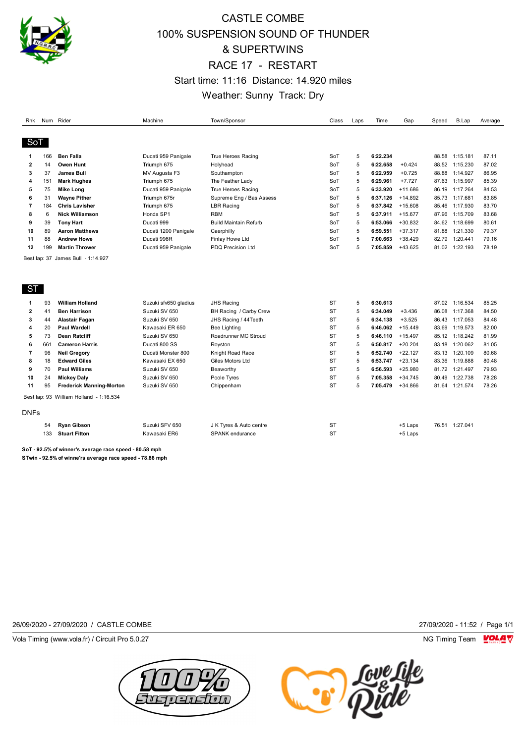

## CASTLE COMBE 100% SUSPENSION SOUND OF THUNDER & SUPERTWINS RACE 17 - RESTART Start time: 11:16 Distance: 14.920 miles Weather: Sunny Track: Dry

| Rnk            |     | Num Rider                               | Machine               | Town/Sponsor                 | Class     | Laps | Time     | Gap       | Speed | B.Lap          | Average |
|----------------|-----|-----------------------------------------|-----------------------|------------------------------|-----------|------|----------|-----------|-------|----------------|---------|
| SoT            |     |                                         |                       |                              |           |      |          |           |       |                |         |
|                |     |                                         |                       |                              |           |      |          |           |       |                |         |
| 1              | 166 | <b>Ben Falla</b>                        | Ducati 959 Panigale   | <b>True Heroes Racing</b>    | SoT       | 5    | 6:22.234 |           |       | 88.58 1:15.181 | 87.11   |
| $\overline{2}$ | 14  | <b>Owen Hunt</b>                        | Triumph 675           | Holyhead                     | SoT       | 5    | 6:22.658 | $+0.424$  | 88.52 | 1:15.230       | 87.02   |
| 3              | 37  | <b>James Bull</b>                       | MV Augusta F3         | Southampton                  | SoT       | 5    | 6:22.959 | $+0.725$  | 88.88 | 1:14.927       | 86.95   |
| 4              | 151 | <b>Mark Hughes</b>                      | Triumph 675           | The Feather Lady             | SoT       | 5    | 6:29.961 | $+7.727$  |       | 87.63 1:15.997 | 85.39   |
| 5              | 75  | <b>Mike Long</b>                        | Ducati 959 Panigale   | True Heroes Racing           | SoT       | 5    | 6:33.920 | $+11.686$ | 86.19 | 1:17.264       | 84.53   |
| 6              | 31  | <b>Wayne Pither</b>                     | Triumph 675r          | Supreme Eng / Bas Assess     | SoT       | 5    | 6:37.126 | $+14.892$ | 85.73 | 1:17.681       | 83.85   |
| 7              | 184 | <b>Chris Lavisher</b>                   | Triumph 675           | <b>LBR Racing</b>            | SoT       | 5    | 6:37.842 | $+15.608$ | 85.46 | 1:17.930       | 83.70   |
| 8              | 6   | <b>Nick Williamson</b>                  | Honda SP1             | <b>RBM</b>                   | SoT       | 5    | 6:37.911 | $+15.677$ | 87.96 | 1:15.709       | 83.68   |
| 9              | 39  | <b>Tony Hart</b>                        | Ducati 999            | <b>Build Maintain Refurb</b> | SoT       | 5    | 6:53.066 | $+30.832$ | 84.62 | 1:18.699       | 80.61   |
| 10             | 89  | <b>Aaron Matthews</b>                   | Ducati 1200 Panigale  | Caerphilly                   | SoT       | 5    | 6:59.551 | $+37.317$ | 81.88 | 1:21.330       | 79.37   |
| 11             | 88  | <b>Andrew Howe</b>                      | Ducati 996R           | Finlay Howe Ltd              | SoT       | 5    | 7:00.663 | $+38.429$ | 82.79 | 1:20.441       | 79.16   |
| 12             | 199 | <b>Martin Thrower</b>                   | Ducati 959 Panigale   | <b>PDQ Precision Ltd</b>     | SoT       | 5    | 7:05.859 | $+43.625$ |       | 81.02 1:22.193 | 78.19   |
| ST             |     |                                         |                       |                              |           |      |          |           |       |                |         |
| 1              | 93  | <b>William Holland</b>                  | Suzuki sfv650 gladius | <b>JHS Racing</b>            | <b>ST</b> | 5    | 6:30.613 |           |       | 87.02 1:16.534 | 85.25   |
| 2              | 41  | <b>Ben Harrison</b>                     | Suzuki SV 650         | BH Racing / Carby Crew       | <b>ST</b> | 5    | 6:34.049 | $+3.436$  | 86.08 | 1:17.368       | 84.50   |
| 3              | 44  | Alastair Fagan                          | Suzuki SV 650         | JHS Racing / 44Teeth         | <b>ST</b> | 5    | 6:34.138 | $+3.525$  | 86.43 | 1:17.053       | 84.48   |
| 4              | 20  | <b>Paul Wardell</b>                     | Kawasaki ER 650       | Bee Lighting                 | <b>ST</b> | 5    | 6:46.062 | $+15.449$ | 83.69 | 1:19.573       | 82.00   |
| 5              | 73  | <b>Dean Ratcliff</b>                    | Suzuki SV 650         | Roadrunner MC Stroud         | <b>ST</b> | 5    | 6:46.110 | $+15.497$ | 85.12 | 1:18.242       | 81.99   |
| 6              | 661 | <b>Cameron Harris</b>                   | Ducati 800 SS         | Royston                      | <b>ST</b> | 5    | 6:50.817 | $+20.204$ | 83.18 | 1:20.062       | 81.05   |
| 7              | 96  | <b>Neil Gregory</b>                     | Ducati Monster 800    | Knight Road Race             | <b>ST</b> | 5    | 6:52.740 | $+22.127$ | 83.13 | 1:20.109       | 80.68   |
| 8              | 18  | <b>Edward Giles</b>                     | Kawasaki EX 650       | Giles Motors Ltd             | <b>ST</b> | 5    | 6:53.747 | $+23.134$ | 83.36 | 1:19.888       | 80.48   |
| 9              | 70  | <b>Paul Williams</b>                    | Suzuki SV 650         | Beaworthy                    | <b>ST</b> | 5    | 6:56.593 | $+25.980$ | 81.72 | 1:21.497       | 79.93   |
| 10             | 24  | <b>Mickey Daly</b>                      | Suzuki SV 650         | Poole Tyres                  | <b>ST</b> | 5    | 7:05.358 | $+34.745$ | 80.49 | 1:22.738       | 78.28   |
| 11             | 95  | <b>Frederick Manning-Morton</b>         | Suzuki SV 650         | Chippenham                   | <b>ST</b> | 5    | 7:05.479 | $+34.866$ | 81.64 | 1:21.574       | 78.26   |
|                |     | Best lap: 93 William Holland - 1:16.534 |                       |                              |           |      |          |           |       |                |         |
| <b>DNFs</b>    |     |                                         |                       |                              |           |      |          |           |       |                |         |
|                | 54  | <b>Ryan Gibson</b>                      | Suzuki SFV 650        | J K Tyres & Auto centre      | <b>ST</b> |      |          | +5 Laps   |       | 76.51 1:27.041 |         |
|                | 133 | <b>Stuart Fitton</b>                    | Kawasaki ER6          | <b>SPANK</b> endurance       | <b>ST</b> |      |          | +5 Laps   |       |                |         |
|                |     |                                         |                       |                              |           |      |          |           |       |                |         |

**SoT - 92.5% of winner's average race speed - 80.58 mph STwin - 92.5% of winne'rs average race speed - 78.86 mph**

26/09/2020 - 27/09/2020 / CASTLE COMBE 27/09/2020 - 11:52 / Page 1/1

Vola Timing (www.vola.fr) / Circuit Pro 5.0.27 NG Timing Team VOLA V



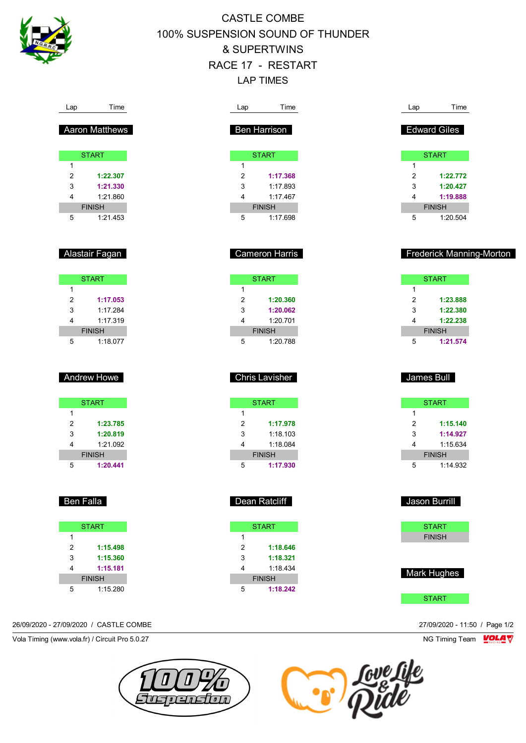

Lap Time

# CASTLE COMBE 100% SUSPENSION SOUND OF THUNDER & SUPERTWINS RACE 17 - RESTART LAP TIMES

Lap Time

Lap Time

| Aaron Matthews                               | Ben Harrison                   | <b>Edward Giles</b>             |
|----------------------------------------------|--------------------------------|---------------------------------|
| <b>START</b>                                 | <b>START</b>                   | <b>START</b>                    |
| $\mathbf{1}$                                 | 1                              | $\mathbf{1}$                    |
| 2<br>1:22.307                                | 2<br>1:17.368                  | 2<br>1:22.772                   |
| 3<br>1:21.330                                | 3<br>1:17.893                  | 3<br>1:20.427                   |
| 1:21.860<br>4                                | 4<br>1:17.467                  | 4<br>1:19.888                   |
| <b>FINISH</b>                                | <b>FINISH</b>                  | <b>FINISH</b>                   |
| 5<br>1:21.453                                | 5<br>1:17.698                  | 5<br>1:20.504                   |
| Alastair Fagan                               | <b>Cameron Harris</b>          | <b>Frederick Manning-Morton</b> |
| <b>START</b>                                 | <b>START</b>                   | <b>START</b>                    |
| $\mathbf{1}$                                 | $\mathbf{1}$                   | 1                               |
| 2<br>1:17.053                                | 2<br>1:20.360                  | 2<br>1:23.888                   |
| 3<br>1:17.284                                | 3<br>1:20.062                  | 3<br>1:22.380                   |
| 1:17.319<br>4                                | 4<br>1:20.701                  | 1:22.238<br>4                   |
| <b>FINISH</b><br>5<br>1:18.077               | <b>FINISH</b><br>5<br>1:20.788 | <b>FINISH</b><br>5<br>1:21.574  |
| <b>Andrew Howe</b>                           | Chris Lavisher                 | James Bull                      |
| <b>START</b>                                 | <b>START</b>                   | <b>START</b>                    |
| $\mathbf{1}$                                 | $\mathbf{1}$                   | $\mathbf{1}$                    |
| $\overline{c}$<br>1:23.785                   | 2<br>1:17.978                  | 2<br>1:15.140                   |
| 1:20.819<br>3                                | 3<br>1:18.103                  | 3<br>1:14.927                   |
| 1:21.092<br>4                                | 4<br>1:18.084                  | 4<br>1:15.634                   |
| <b>FINISH</b>                                | <b>FINISH</b>                  | <b>FINISH</b>                   |
| 5<br>1:20.441                                | 5<br>1:17.930                  | 5<br>1:14.932                   |
| Ben Falla                                    | Dean Ratcliff                  | Jason Burrill                   |
| <b>START</b>                                 | <b>START</b>                   | <b>START</b>                    |
| $\mathbf{1}$                                 | $\mathbf{1}$                   | <b>FINISH</b>                   |
| $\overline{2}$<br>1:15.498                   | $\overline{2}$<br>1:18.646     |                                 |
| 3<br>1:15.360                                | 3<br>1:18.321                  |                                 |
| 4<br>1:15.181                                | 4<br>1:18.434                  | Mark Hughes                     |
|                                              | <b>FINISH</b>                  |                                 |
| <b>FINISH</b><br>$5\phantom{.0}$<br>1:15.280 | 5<br>1:18.242                  |                                 |

26/09/2020 - 27/09/2020 / CASTLE COMBE 27/09/2020 - 11:50 / Page 1/2

Vola Timing (www.vola.fr) / Circuit Pro 5.0.27 **NG Timing Team** Vola Timing Team VOLA V



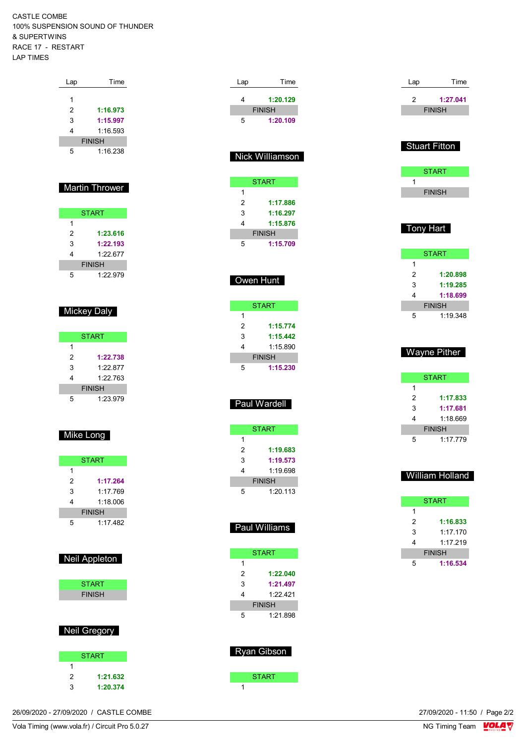CASTLE COMBE 100% SUSPENSION SOUND OF THUNDER & SUPERTWINS RACE 17 - RESTART LAP TIMES

| Lap            | Time                  |
|----------------|-----------------------|
|                |                       |
| 1              |                       |
| 2              | 1:16.973              |
| 3              | 1:15.997              |
| 4              | 1:16.593              |
|                | <b>FINISH</b>         |
| 5              | 1:16.238              |
|                |                       |
|                |                       |
|                | <b>Martin Thrower</b> |
|                |                       |
|                |                       |
|                | <b>START</b>          |
| 1              |                       |
| $\overline{2}$ | 1:23.616              |
| 3              | 1:22.193              |
| 4              | 1:22.677              |
|                | <b>FINISH</b>         |
| 5              | 1:22.979              |
|                |                       |
|                |                       |
|                |                       |
|                | <b>Mickey Daly</b>    |
|                |                       |
|                | <b>START</b>          |
| 1              |                       |
| $\overline{2}$ | 1:22.738              |
| 3              | 1:22.877              |
| 4              | 1:22.763              |
|                | <b>FINISH</b>         |
|                |                       |
| 5              | 1:23.979              |
|                |                       |
|                |                       |
| Mike Long      |                       |
|                |                       |
|                |                       |
|                | <b>START</b>          |

| 1:17.264      |  |  |  |  |
|---------------|--|--|--|--|
| 1.17769       |  |  |  |  |
| 1.18006       |  |  |  |  |
| <b>FINISH</b> |  |  |  |  |
| 1.17482       |  |  |  |  |
|               |  |  |  |  |

| START         |  |
|---------------|--|
| <b>FINISH</b> |  |
|               |  |

#### Neil Gregory

|   | <b>START</b> |
|---|--------------|
|   |              |
| 2 | 1:21.632     |
| з | 1:20.374     |

| Lap            | Time                      |  |
|----------------|---------------------------|--|
| 4              | 1:20.129                  |  |
|                | <b>FINISH</b>             |  |
| 5              | 1:20.109                  |  |
|                |                           |  |
|                |                           |  |
|                | Nick Williamson           |  |
|                |                           |  |
|                | <b>START</b>              |  |
| 1              |                           |  |
| $\overline{2}$ | 1:17.886                  |  |
| 3              | 1:16.297                  |  |
| 4              | 1:15.876                  |  |
|                | <b>FINISH</b>             |  |
| 5              | 1:15.709                  |  |
|                |                           |  |
|                | Owen Hunt                 |  |
|                |                           |  |
|                |                           |  |
| 1              | <b>START</b>              |  |
| $\overline{c}$ | 1:15.774                  |  |
| 3              | 1:15.442                  |  |
| 4              | 1:15.890                  |  |
|                | <b>FINISH</b>             |  |
| 5              | 1:15.230                  |  |
|                |                           |  |
|                |                           |  |
|                |                           |  |
|                | Paul Wardell              |  |
|                |                           |  |
|                | <b>START</b>              |  |
| 1              |                           |  |
| 2              | 1:19.683                  |  |
| 3              | 1:19.573                  |  |
| 4              | 1:19.698                  |  |
| 5              | <b>FINISH</b><br>1:20.113 |  |
|                |                           |  |
|                |                           |  |
|                |                           |  |
|                | Paul Williams             |  |
|                |                           |  |
| 1              | <b>START</b>              |  |
| $\overline{2}$ | 1:22.040                  |  |
| 3              | 1:21.497                  |  |
| 4              | 1:22.421                  |  |
|                | <b>FINISH</b>             |  |
| 5              | 1:21.898                  |  |
|                |                           |  |
|                |                           |  |
|                | Ryan Gibson               |  |
|                |                           |  |
| $\overline{1}$ | <b>START</b>              |  |

| Lap | Time                 |
|-----|----------------------|
| 2   | 1:27.041             |
|     | <b>FINISH</b>        |
|     |                      |
|     |                      |
|     | <b>Stuart Fitton</b> |
|     |                      |
|     | <b>START</b>         |
| 1   |                      |
|     | <b>FINISH</b>        |
|     |                      |
|     |                      |

### Tony Hart

|               | <b>START</b> |  |  |  |
|---------------|--------------|--|--|--|
| 1             |              |  |  |  |
| 2             | 1:20.898     |  |  |  |
| 3             | 1:19.285     |  |  |  |
| 4             | 1:18.699     |  |  |  |
| <b>FINISH</b> |              |  |  |  |
| 5             | 1:19.348     |  |  |  |

### Wayne Pither

|               | <b>START</b> |  |  |  |
|---------------|--------------|--|--|--|
| 1             |              |  |  |  |
| 2             | 1:17.833     |  |  |  |
| 3             | 1:17.681     |  |  |  |
| 4             | 1.18669      |  |  |  |
| <b>FINISH</b> |              |  |  |  |
| 5             | 1:17.779     |  |  |  |

## William Holland

|               | <b>START</b> |  |  |  |
|---------------|--------------|--|--|--|
| 1             |              |  |  |  |
| 2             | 1:16.833     |  |  |  |
| 3             | 1.17170      |  |  |  |
| 4             | 1.17219      |  |  |  |
| <b>FINISH</b> |              |  |  |  |
| ҕ             | 1:16.534     |  |  |  |

26/09/2020 - 27/09/2020 / CASTLE COMBE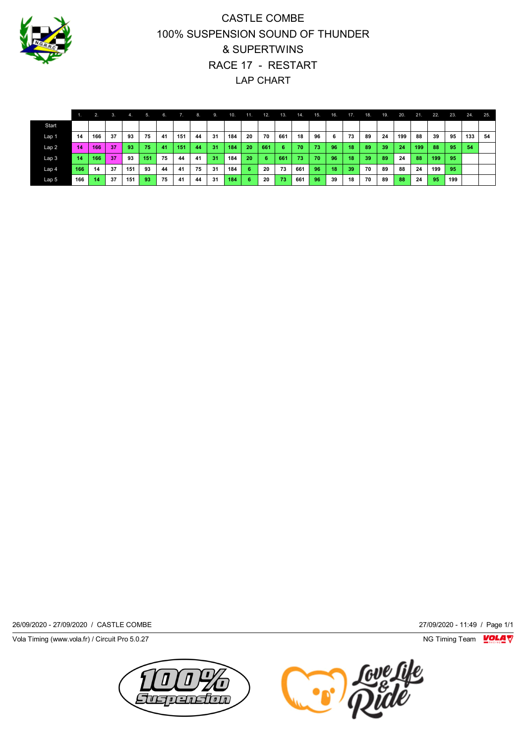

# CASTLE COMBE 100% SUSPENSION SOUND OF THUNDER & SUPERTWINS RACE 17 - RESTART LAP CHART

|                  |     | 2.  | 3. | 4.  | 5.  | 6. | 7.  | 8. | 9. | 10. | 11. | 12. | 13. | 14. | 15. | 16. | 17. | 18. | 19.          | 20. | 21. | 22. | 23. | 24. | 25. |
|------------------|-----|-----|----|-----|-----|----|-----|----|----|-----|-----|-----|-----|-----|-----|-----|-----|-----|--------------|-----|-----|-----|-----|-----|-----|
| Start            |     |     |    |     |     |    |     |    |    |     |     |     |     |     |     |     |     |     |              |     |     |     |     |     |     |
| Lap 1            | 14  | 166 | 37 | 93  | 75  | 41 | 151 | 44 | 31 | 184 | 20  | 70  | 661 | 18  | 96  | 6   | 73  | 89  | 24           | 199 | 88  | 39  | 95  | 133 | 54  |
| Lap2             | 14  | 166 | 37 | 93  | 75  | 41 | 151 | 44 | 31 | 184 | 20  | 661 | 6   | 70  | 73  | 96  | 18  | 89  | 39           | 24  | 199 | 88  | 95  | 54  |     |
| Lap <sub>3</sub> | 14  | 166 | 37 | 93  | 151 | 75 | 44  | 41 | 31 | 184 | 20  | -6  | 661 | 73  | 70  | 96  | 18  | 39  | $89^{\circ}$ | 24  | 88  | 199 | -95 |     |     |
| Lap <sub>4</sub> | 166 | 14  | 37 | 151 | 93  | 44 | 41  | 75 | 31 | 184 | 6.  | 20  | 73  | 661 | 96  | 18  | 39  | 70  | 89           | 88  | 24  | 199 | -95 |     |     |
| Lap 5            | 166 | 14  | 37 | 151 | 93  | 75 | 41  | 44 | 31 | 184 | 6.  | 20  | 73  | 661 | 96  | 39  | 18  | 70  | 89           | 88  | 24  | 95  | 199 |     |     |

26/09/2020 - 27/09/2020 / CASTLE COMBE 27/09/2020 - 11:49 / Page 1/1

Vola Timing (www.vola.fr) / Circuit Pro 5.0.27 **NG Timing Team** Vola Timing Team VOLA V

mston  $\overline{a}$ 

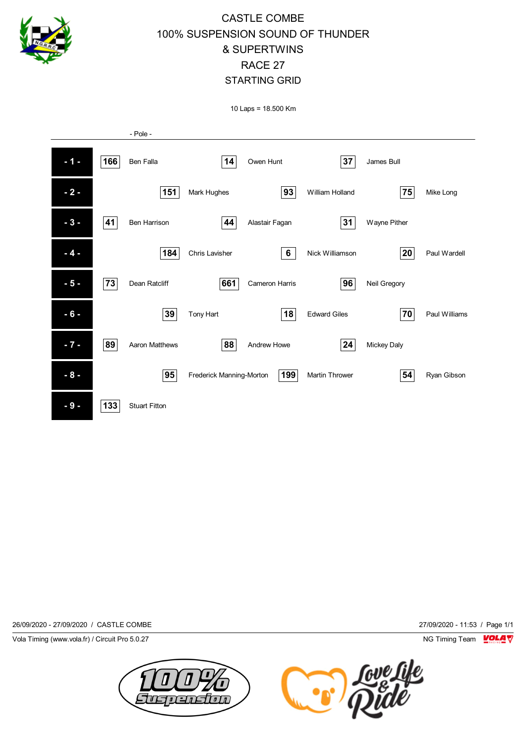

# CASTLE COMBE 100% SUSPENSION SOUND OF THUNDER & SUPERTWINS RACE 27 STARTING GRID

10 Laps = 18.500 Km



26/09/2020 - 27/09/2020 / CASTLE COMBE 27/09/2020 - 11:53 / Page 1/1

Vola Timing (www.vola.fr) / Circuit Pro 5.0.27 NG Timing Team NG Timing Team NG Timing Team NG Timing Team NG



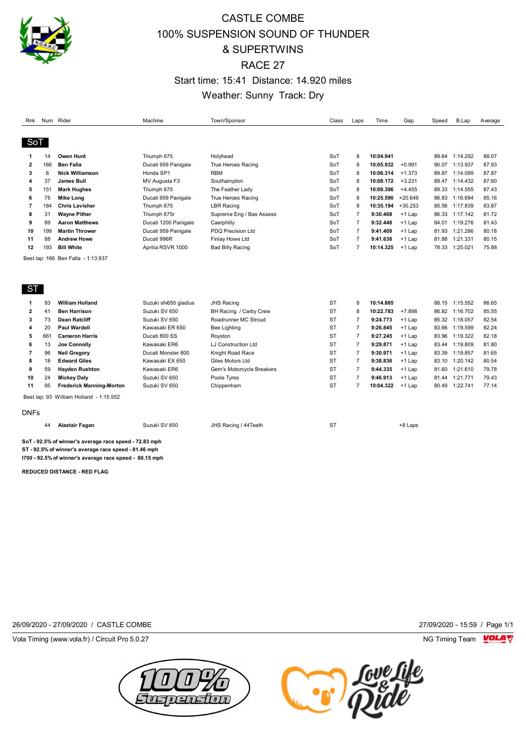

## CASTLE COMBE 100% SUSPENSION SOUND OF THUNDER & SUPERTWINS RACE 27 Start time: 15:41 Distance: 14.920 miles Weather: Sunny Track: Dry

| Rnk            |     | Num Rider                                              | Machine               | Town/Sponsor               | Class     | Laps           | Time      | Gap       | Speed | B.Lap          | Average |
|----------------|-----|--------------------------------------------------------|-----------------------|----------------------------|-----------|----------------|-----------|-----------|-------|----------------|---------|
|                |     |                                                        |                       |                            |           |                |           |           |       |                |         |
| SoT            |     |                                                        |                       |                            |           |                |           |           |       |                |         |
| 1              | 14  | <b>Owen Hunt</b>                                       | Triumph 675           | Holyhead                   | SoT       | 8              | 10:04.941 |           |       | 89.64 1:14.292 | 88.07   |
| $\overline{2}$ | 166 | <b>Ben Falla</b>                                       | Ducati 959 Panigale   | <b>True Heroes Racing</b>  | SoT       | 8              | 10:05.932 | $+0.991$  | 90.07 | 1:13.937       | 87.93   |
| 3              | 6   | <b>Nick Williamson</b>                                 | Honda SP1             | <b>RBM</b>                 | SoT       | 8              | 10:06.314 | $+1.373$  | 89.87 | 1:14.099       | 87.87   |
| 4              | 37  | <b>James Bull</b>                                      | MV Augusta F3         | Southampton                | SoT       | 8              | 10:08.172 | $+3.231$  | 89.47 | 1:14.432       | 87.60   |
| 5              | 151 | <b>Mark Hughes</b>                                     | Triumph 675           | The Feather Lady           | SoT       | 8              | 10:09.396 | $+4.455$  | 89.33 | 1:14.555       | 87.43   |
| 6              | 75  | <b>Mike Long</b>                                       | Ducati 959 Panigale   | True Heroes Racing         | SoT       | 8              | 10:25.590 | $+20.649$ |       | 86.83 1:16.694 | 85.16   |
| 7              | 184 | <b>Chris Lavisher</b>                                  | Triumph 675           | <b>LBR Racing</b>          | SoT       | 8              | 10:35.194 | $+30.253$ | 85.56 | 1:17.839       | 83.87   |
| 8              | 31  | <b>Wayne Pither</b>                                    | Triumph 675r          | Supreme Eng / Bas Assess   | SoT       | $\overline{7}$ | 9:30.468  | $+1$ Lap  | 86.33 | 1:17.142       | 81.72   |
| 9              | 89  | <b>Aaron Matthews</b>                                  | Ducati 1200 Panigale  | Caerphilly                 | SoT       | $\overline{7}$ | 9:32.448  | $+1$ Lap  | 84.01 | 1:19.276       | 81.43   |
| 10             | 199 | <b>Martin Thrower</b>                                  | Ducati 959 Panigale   | PDQ Precision Ltd          | SoT       | $\overline{7}$ | 9:41.409  | $+1$ Lap  | 81.93 | 1:21.286       | 80.18   |
| 11             | 88  | <b>Andrew Howe</b>                                     | Ducati 996R           | Finlay Howe Ltd            | SoT       | $\overline{7}$ | 9:41.638  | $+1$ Lap  | 81.88 | 1:21.331       | 80.15   |
| 12             | 193 | <b>Bill White</b>                                      | Aprilia RSVR 1000     | Bad Billy Racing           | SoT       | $\overline{7}$ | 10:14.325 | $+1$ Lap  | 78.33 | 1:25.021       | 75.88   |
| ST             |     |                                                        |                       |                            |           |                |           |           |       |                |         |
| 1              | 93  | <b>William Holland</b>                                 | Suzuki sfv650 gladius | <b>JHS Racing</b>          | <b>ST</b> | 8              | 10:14.885 |           |       | 88.15 1:15.552 | 86.65   |
| $\overline{2}$ | 41  | <b>Ben Harrison</b>                                    | Suzuki SV 650         | BH Racing / Carby Crew     | <b>ST</b> | 8              | 10:22.783 | $+7.898$  |       | 86.82 1:16.702 | 85.55   |
| 3              | 73  | <b>Dean Ratcliff</b>                                   | Suzuki SV 650         | Roadrunner MC Stroud       | <b>ST</b> | $\overline{7}$ | 9:24.773  | $+1$ Lap  |       | 85.32 1:18.057 | 82.54   |
| 4              | 20  | <b>Paul Wardell</b>                                    | Kawasaki ER 650       | Bee Lighting               | <b>ST</b> | $\overline{7}$ | 9:26.845  | $+1$ Lap  | 83.66 | 1:19.599       | 82.24   |
| 5              | 661 | <b>Cameron Harris</b>                                  | Ducati 800 SS         | Royston                    | <b>ST</b> | $\overline{7}$ | 9:27.245  | $+1$ Lap  | 83.96 | 1:19.322       | 82.18   |
| 6              | 13  | <b>Joe Connolly</b>                                    | Kawasaki ER6          | <b>LJ Construction Ltd</b> | <b>ST</b> | $\overline{7}$ | 9:29.871  | $+1$ Lap  | 83.44 | 1:19.809       | 81.80   |
| 7              | 96  | <b>Neil Gregory</b>                                    | Ducati Monster 800    | Knight Road Race           | <b>ST</b> | $\overline{7}$ | 9:30.971  | $+1$ Lap  | 83.39 | 1:19.857       | 81.65   |
| 8              | 18  | <b>Edward Giles</b>                                    | Kawasaki EX 650       | Giles Motors Ltd           | <b>ST</b> | $\overline{7}$ | 9:38.836  | $+1$ Lap  | 83.10 | 1:20.142       | 80.54   |
| 9              | 59  | <b>Hayden Rushton</b>                                  | Kawasaki ER6          | Gem's Motorcycle Breakers  | <b>ST</b> | $\overline{7}$ | 9:44.335  | $+1$ Lap  | 81.60 | 1:21.610       | 79.78   |
| 10             | 24  | <b>Mickey Daly</b>                                     | Suzuki SV 650         | Poole Tyres                | <b>ST</b> | $\overline{7}$ | 9:46.913  | $+1$ Lap  | 81.44 | 1:21.771       | 79.43   |
| 11             | 95  | <b>Frederick Manning-Morton</b>                        | Suzuki SV 650         | Chippenham                 | <b>ST</b> | $\overline{7}$ | 10:04.322 | $+1$ Lap  | 80.49 | 1:22.741       | 77.14   |
|                |     | Best lap: 93 William Holland - 1:15.552                |                       |                            |           |                |           |           |       |                |         |
| <b>DNFs</b>    |     |                                                        |                       |                            |           |                |           |           |       |                |         |
|                | 44  | <b>Alastair Fagan</b>                                  | Suzuki SV 650         | JHS Racing / 44Teeth       | <b>ST</b> |                |           | +8 Laps   |       |                |         |
|                |     | SoT - 92.5% of winner's average race speed - 72.83 mph |                       |                            |           |                |           |           |       |                |         |

**ST - 92.5% of winner's average race speed - 81.46 mph I700 - 92.5% of winner's average race speed - 80.15 mph**

**REDUCED DISTANCE - RED FLAG**

26/09/2020 - 27/09/2020 / CASTLE COMBE 27/09/2020 - 15:59 / Page 1/1

Vola Timing (www.vola.fr) / Circuit Pro 5.0.27 NG Timing Team Museum of the Superior Section 1997 NG Timing Team Museum of the Superior Section 1997 NG Timing Team Museum of the Superior Section 1997 NG Timing Team Museum



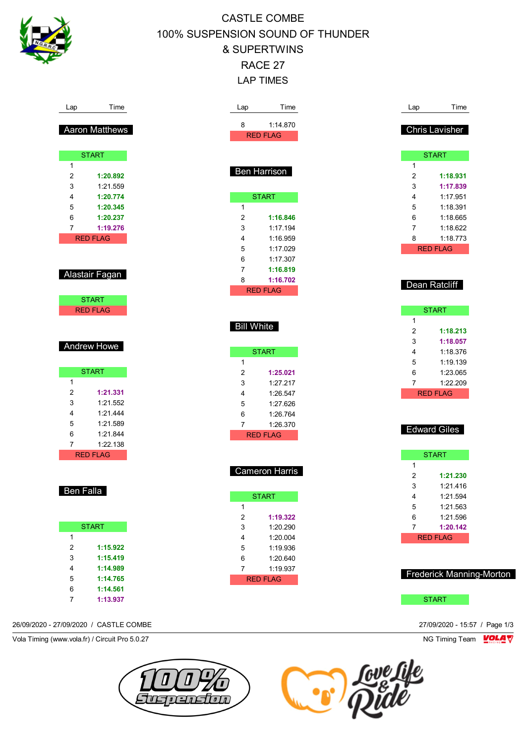

Lap

# CASTLE COMBE 100% SUSPENSION SOUND OF THUNDER & SUPERTWINS RACE 27 LAP TIMES

| Lap                 | Time                 | Lap                     | Time                  | Lap                     | Time                     |
|---------------------|----------------------|-------------------------|-----------------------|-------------------------|--------------------------|
|                     |                      | 8                       | 1:14.870              |                         |                          |
|                     | Aaron Matthews       |                         | <b>RED FLAG</b>       |                         | <b>Chris Lavisher</b>    |
|                     |                      |                         |                       |                         |                          |
|                     | <b>START</b>         |                         |                       |                         | <b>START</b>             |
| $\mathbf{1}$        |                      |                         |                       | $\mathbf{1}$            |                          |
| 2                   | 1:20.892             |                         | Ben Harrison          | $\overline{\mathbf{c}}$ | 1:18.931                 |
| 3                   | 1:21.559             |                         |                       | 3                       | 1:17.839                 |
| 4                   | 1:20.774             |                         | <b>START</b>          | 4                       | 1:17.951                 |
| 5                   | 1:20.345             | $\mathbf{1}$            |                       | 5                       | 1:18.391                 |
| 6                   | 1:20.237             | $\overline{\mathbf{c}}$ | 1:16.846              | 6                       | 1:18.665                 |
| 7                   | 1:19.276             | 3                       | 1:17.194              | 7                       | 1:18.622                 |
|                     | <b>RED FLAG</b>      | 4                       | 1:16.959              | 8                       | 1:18.773                 |
|                     |                      | 5                       | 1:17.029              |                         | <b>RED FLAG</b>          |
|                     |                      | 6                       | 1:17.307              |                         |                          |
|                     |                      | 7                       | 1:16.819              |                         |                          |
|                     | Alastair Fagan       | 8                       | 1:16.702              |                         |                          |
|                     |                      |                         | <b>RED FLAG</b>       |                         | Dean Ratcliff            |
|                     | <b>START</b>         |                         |                       |                         |                          |
|                     | <b>RED FLAG</b>      |                         |                       |                         | <b>START</b>             |
|                     |                      |                         |                       | $\mathbf{1}$            |                          |
|                     |                      | <b>Bill White</b>       |                       | $\overline{\mathbf{c}}$ | 1:18.213                 |
|                     |                      |                         |                       | 3                       | 1:18.057                 |
|                     | <b>Andrew Howe</b>   |                         | <b>START</b>          | 4                       | 1:18.376                 |
|                     |                      | $\mathbf{1}$            |                       | 5                       | 1:19.139                 |
|                     | <b>START</b>         | $\overline{\mathbf{c}}$ | 1:25.021              | 6                       | 1:23.065                 |
| $\mathbf{1}$        |                      | 3                       | 1:27.217              | $\overline{7}$          | 1:22.209                 |
| $\overline{c}$      | 1:21.331             | 4                       | 1:26.547              |                         | <b>RED FLAG</b>          |
| 3                   | 1:21.552             | 5                       | 1:27.626              |                         |                          |
| 4                   | 1:21.444             | 6                       | 1:26.764              |                         |                          |
| 5                   | 1:21.589             | $\overline{7}$          | 1:26.370              |                         |                          |
| 6                   | 1:21.844             |                         | <b>RED FLAG</b>       |                         | <b>Edward Giles</b>      |
| $\overline{7}$      | 1:22.138             |                         |                       |                         |                          |
|                     | <b>RED FLAG</b>      |                         |                       |                         | <b>START</b>             |
|                     |                      |                         |                       | $\mathbf{1}$            |                          |
|                     |                      |                         | <b>Cameron Harris</b> | $\overline{\mathbf{c}}$ | 1:21.230                 |
|                     |                      |                         |                       | 3                       | 1:21.416                 |
| <b>Ben Falla</b>    |                      |                         | <b>START</b>          | $\overline{4}$          | 1:21.594                 |
|                     |                      | $\mathbf{1}$            |                       | 5                       | 1:21.563                 |
|                     |                      | $\boldsymbol{2}$        | 1:19.322              | 6                       | 1:21.596                 |
|                     | <b>START</b>         | 3                       | 1:20.290              | $\overline{7}$          | 1:20.142                 |
| $\mathbf{1}$        |                      | 4                       | 1:20.004              |                         | <b>RED FLAG</b>          |
|                     | 1:15.922             | 5                       | 1:19.936              |                         |                          |
|                     |                      | 6                       | 1:20.640              |                         |                          |
| $\overline{c}$      |                      |                         |                       |                         |                          |
| 3                   | 1:15.419             |                         |                       |                         |                          |
| 4                   | 1:14.989             | $\overline{7}$          | 1:19.937              |                         |                          |
| 5                   | 1:14.765             |                         | <b>RED FLAG</b>       |                         | Frederick Manning-Morton |
| 6<br>$\overline{7}$ | 1:14.561<br>1:13.937 |                         |                       |                         | <b>START</b>             |

Vola Timing (www.vola.fr) / Circuit Pro 5.0.27 NG Timing Team VOLA V



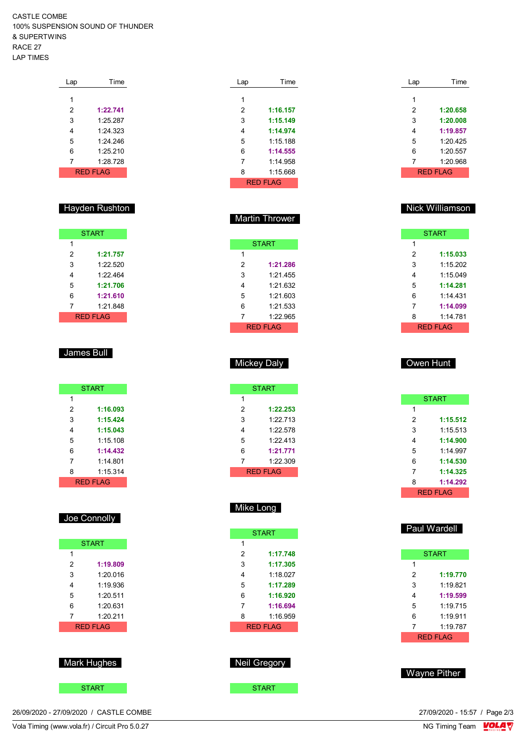CASTLE COMBE 100% SUSPENSION SOUND OF THUNDER & SUPERTWINS RACE 27 LAP TIMES

| Lap | Time            |
|-----|-----------------|
|     |                 |
| 1   |                 |
| 2   | 1:22.741        |
| 3   | 1.25 287        |
| 4   | 1:24.323        |
| 5   | 1.24.246        |
| 6   | 1:25.210        |
| 7   | 1:28.728        |
|     | <b>RED FLAG</b> |

#### Hayden Rushton

|   | <b>START</b> |
|---|--------------|
| 1 |              |
| 2 | 1:21.757     |
| 3 | 1:22.520     |
| 4 | 1:22.464     |
| 5 | 1:21.706     |
| 6 | 1:21.610     |
| 7 | 1:21.848     |
|   | RFD FI AG    |

#### James Bull

|   | <b>START</b>     |
|---|------------------|
| 1 |                  |
| 2 | 1:16.093         |
| 3 | 1:15.424         |
| 4 | 1:15.043         |
| 5 | 1.15108          |
| 6 | 1:14.432         |
| 7 | 1:14 801         |
| 8 | 1:15.314         |
|   | <b>RFD FI AG</b> |

## Joe Connolly

|   | <b>START</b>     |  |  |  |  |
|---|------------------|--|--|--|--|
| 1 |                  |  |  |  |  |
| 2 | 1:19.809         |  |  |  |  |
| 3 | 1.20 016         |  |  |  |  |
| 4 | 1:19.936         |  |  |  |  |
| 5 | 1.20.511         |  |  |  |  |
| 6 | 1:20.631         |  |  |  |  |
| 7 | 1:20.211         |  |  |  |  |
|   | <b>RFD FI AG</b> |  |  |  |  |
|   |                  |  |  |  |  |
|   |                  |  |  |  |  |

## Mark Hughes



26/09/2020 - 27/09/2020 / CASTLE COMBE

| Lap | Time            |
|-----|-----------------|
| 1   |                 |
| 2   | 1:16.157        |
| 3   | 1:15.149        |
| 4   | 1:14.974        |
| 5   | $1.15$ 188      |
| 6   | 1:14.555        |
| 7   | 1.14958         |
| 8   | 1:15.668        |
|     | <b>RED FLAG</b> |

Martin Thrower

**START** 

 **1:21.286** 1:21.455 1:21.632 1:21.603 1:21.533 1:22.965 RED FLAG

| Lap | Time     |
|-----|----------|
| 1   |          |
|     |          |
| 2   | 1:20.658 |
| 3   | 1:20.008 |
| 4   | 1:19.857 |
| 5   | 1:20.425 |
| 6   | 1:20.557 |
| 7   | 1:20.968 |
|     | RED FLAG |

#### Nick Williamson

|   | <b>START</b>    |
|---|-----------------|
| 1 |                 |
| 2 | 1:15.033        |
| 3 | 1.15202         |
| 4 | 1:15.049        |
| 5 | 1:14.281        |
| 6 | 1:14 431        |
| 7 | 1:14.099        |
| 8 | 1:14 781        |
|   | <b>RED FLAG</b> |

### Mickey Daly

|   | <b>START</b> |
|---|--------------|
| 1 |              |
| 2 | 1:22.253     |
| 3 | 1:22.713     |
| 4 | 1.22.578     |
| 5 | 1.22 413     |
| 6 | 1:21.771     |
| 7 | 1:22.309     |
|   | RFD FI AG    |

#### Mike Long

| 1<br>2<br>1:17.748<br>3<br>1:17.305<br>1:18.027<br>4<br>5<br>1:17.289<br>6<br>1:16.920<br>7<br>1:16.694<br>1:16.959<br>8<br><b>RED FLAG</b> | <b>START</b> |
|---------------------------------------------------------------------------------------------------------------------------------------------|--------------|
|                                                                                                                                             |              |
|                                                                                                                                             |              |
|                                                                                                                                             |              |
|                                                                                                                                             |              |
|                                                                                                                                             |              |
|                                                                                                                                             |              |
|                                                                                                                                             |              |
|                                                                                                                                             |              |
|                                                                                                                                             |              |
|                                                                                                                                             |              |

# Neil Gregory

START **START** 

#### Owen Hunt

|   | <b>START</b>    |  |  |  |  |  |  |
|---|-----------------|--|--|--|--|--|--|
| 1 |                 |  |  |  |  |  |  |
| 2 | 1:15.512        |  |  |  |  |  |  |
| 3 | 1:15.513        |  |  |  |  |  |  |
| 4 | 1:14.900        |  |  |  |  |  |  |
| 5 | 1.14997         |  |  |  |  |  |  |
| 6 | 1:14.530        |  |  |  |  |  |  |
| 7 | 1:14.325        |  |  |  |  |  |  |
| 8 | 1:14.292        |  |  |  |  |  |  |
|   | <b>RED FLAG</b> |  |  |  |  |  |  |

## Paul Wardell

| <b>START</b> |                 |  |  |  |  |  |  |  |  |  |
|--------------|-----------------|--|--|--|--|--|--|--|--|--|
| 1            |                 |  |  |  |  |  |  |  |  |  |
| 2            | 1:19.770        |  |  |  |  |  |  |  |  |  |
| 3            | 1:19.821        |  |  |  |  |  |  |  |  |  |
| 4            | 1:19.599        |  |  |  |  |  |  |  |  |  |
| 5            | 1.19715         |  |  |  |  |  |  |  |  |  |
| 6            | 1.19911         |  |  |  |  |  |  |  |  |  |
| 7            | 1:19.787        |  |  |  |  |  |  |  |  |  |
|              | <b>RED FLAG</b> |  |  |  |  |  |  |  |  |  |

Wayne Pither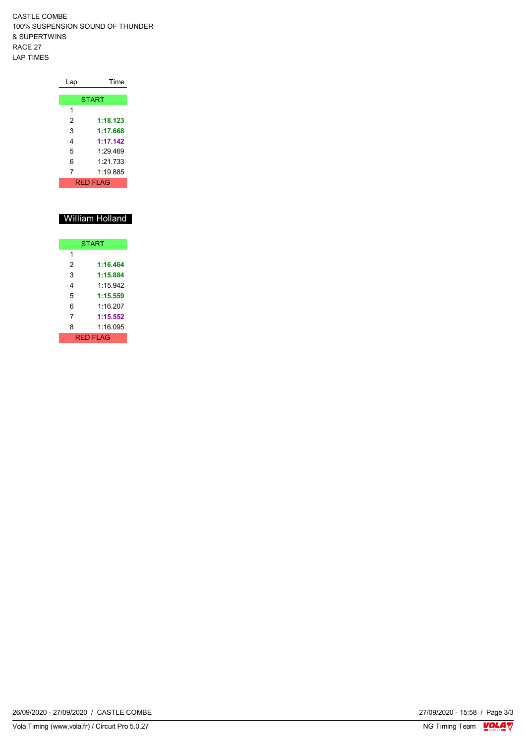CASTLE COMBE 100% SUSPENSION SOUND OF THUNDER & SUPERTWINS RACE 27 LAP TIMES

| Lap | Time             |
|-----|------------------|
|     |                  |
|     | <b>START</b>     |
| 1   |                  |
| 2   | 1:18.123         |
| 3   | 1:17.668         |
| 4   | 1:17.142         |
| 5   | 1.29469          |
| 6   | 1.21 733         |
| 7   | 1:19.885         |
|     | <b>RFD FI AG</b> |

## William Holland

| <b>START</b>    |          |  |  |  |  |  |  |  |  |  |
|-----------------|----------|--|--|--|--|--|--|--|--|--|
| 1               |          |  |  |  |  |  |  |  |  |  |
| 2               | 1:16.464 |  |  |  |  |  |  |  |  |  |
| 3               | 1:15.884 |  |  |  |  |  |  |  |  |  |
| 4               | 1.15942  |  |  |  |  |  |  |  |  |  |
| 5               | 1:15.559 |  |  |  |  |  |  |  |  |  |
| հ               | 1.16 207 |  |  |  |  |  |  |  |  |  |
| 7               | 1:15.552 |  |  |  |  |  |  |  |  |  |
| 8               | 1:16 095 |  |  |  |  |  |  |  |  |  |
| <b>RED FLAG</b> |          |  |  |  |  |  |  |  |  |  |

26/09/2020 - 27/09/2020 / CASTLE COMBE

27/09/2020 - 15:58 / Page 3/3<br>NG Timing Team  $\frac{VOLA}{V}$